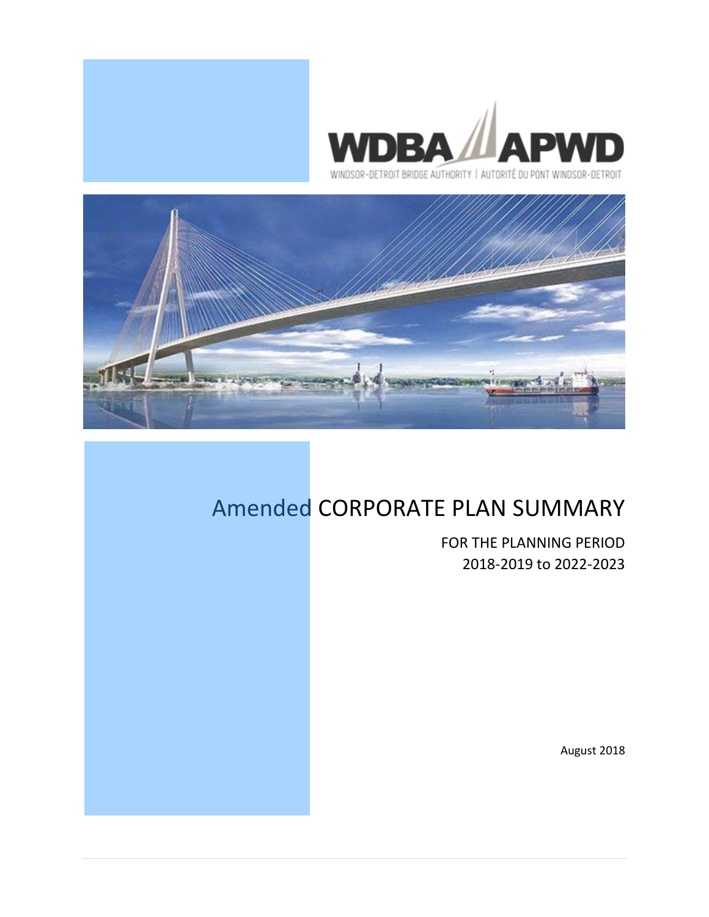



# Amended CORPORATE PLAN SUMMARY

FOR THE PLANNING PERIOD 2018-2019 to 2022-2023

August 2018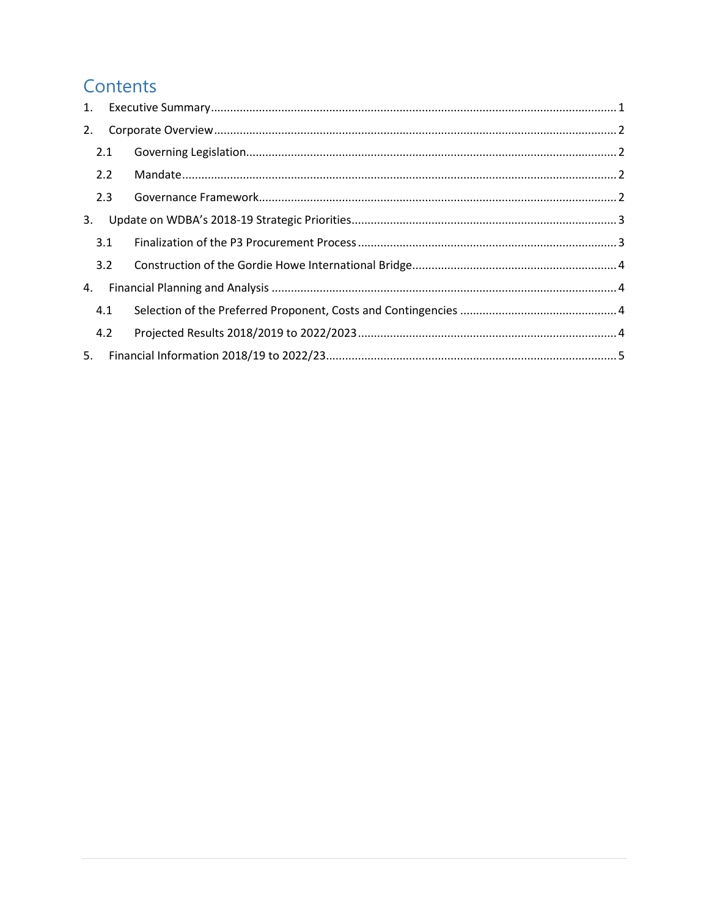## Contents

| 1. |     |  |
|----|-----|--|
| 2. |     |  |
|    | 2.1 |  |
|    | 2.2 |  |
|    | 2.3 |  |
| 3. |     |  |
|    | 3.1 |  |
|    | 3.2 |  |
| 4. |     |  |
|    | 4.1 |  |
|    | 4.2 |  |
| 5. |     |  |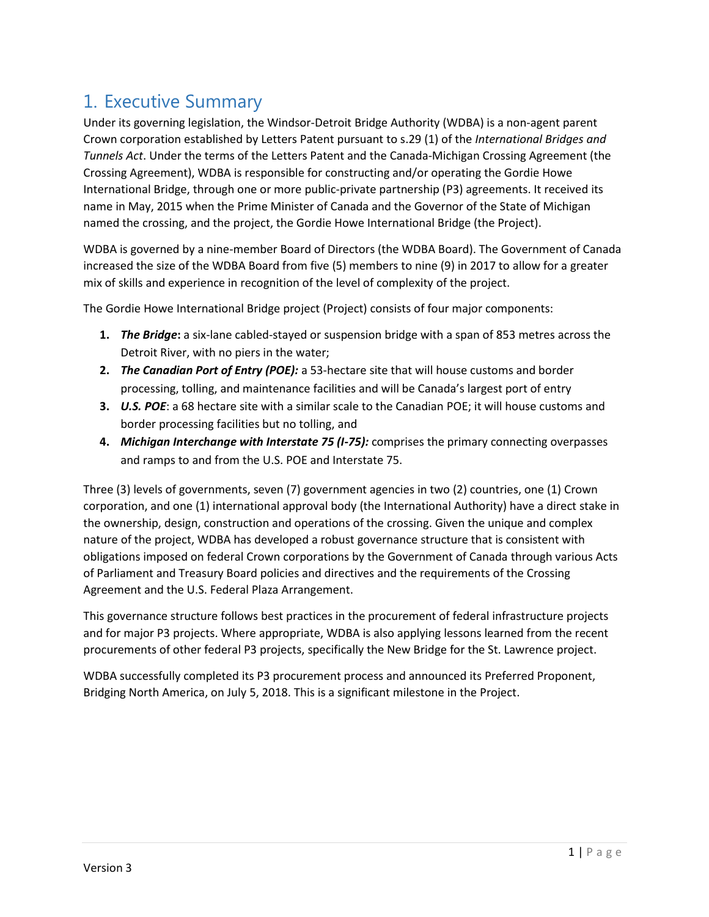## <span id="page-2-0"></span>1. Executive Summary

Under its governing legislation, the Windsor-Detroit Bridge Authority (WDBA) is a non-agent parent Crown corporation established by Letters Patent pursuant to s.29 (1) of the *International Bridges and Tunnels Act*. Under the terms of the Letters Patent and the Canada-Michigan Crossing Agreement (the Crossing Agreement), WDBA is responsible for constructing and/or operating the Gordie Howe International Bridge, through one or more public-private partnership (P3) agreements. It received its name in May, 2015 when the Prime Minister of Canada and the Governor of the State of Michigan named the crossing, and the project, the Gordie Howe International Bridge (the Project).

WDBA is governed by a nine-member Board of Directors (the WDBA Board). The Government of Canada increased the size of the WDBA Board from five (5) members to nine (9) in 2017 to allow for a greater mix of skills and experience in recognition of the level of complexity of the project.

The Gordie Howe International Bridge project (Project) consists of four major components:

- **1.** *The Bridge***:** a six-lane cabled-stayed or suspension bridge with a span of 853 metres across the Detroit River, with no piers in the water;
- **2.** *The Canadian Port of Entry (POE):* a 53-hectare site that will house customs and border processing, tolling, and maintenance facilities and will be Canada's largest port of entry
- **3.** *U.S. POE*: a 68 hectare site with a similar scale to the Canadian POE; it will house customs and border processing facilities but no tolling, and
- **4.** *Michigan Interchange with Interstate 75 (I-75):* comprises the primary connecting overpasses and ramps to and from the U.S. POE and Interstate 75.

Three (3) levels of governments, seven (7) government agencies in two (2) countries, one (1) Crown corporation, and one (1) international approval body (the International Authority) have a direct stake in the ownership, design, construction and operations of the crossing. Given the unique and complex nature of the project, WDBA has developed a robust governance structure that is consistent with obligations imposed on federal Crown corporations by the Government of Canada through various Acts of Parliament and Treasury Board policies and directives and the requirements of the Crossing Agreement and the U.S. Federal Plaza Arrangement.

This governance structure follows best practices in the procurement of federal infrastructure projects and for major P3 projects. Where appropriate, WDBA is also applying lessons learned from the recent procurements of other federal P3 projects, specifically the New Bridge for the St. Lawrence project.

WDBA successfully completed its P3 procurement process and announced its Preferred Proponent, Bridging North America, on July 5, 2018. This is a significant milestone in the Project.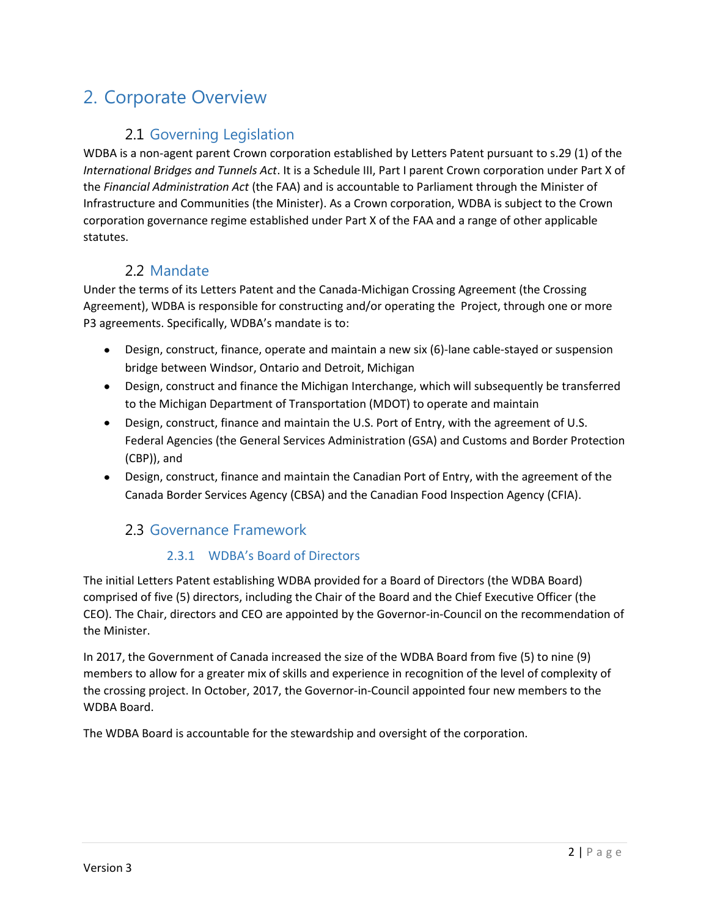## <span id="page-3-0"></span>2. Corporate Overview

### <span id="page-3-1"></span>2.1 Governing Legislation

WDBA is a non-agent parent Crown corporation established by Letters Patent pursuant to s.29 (1) of the *International Bridges and Tunnels Act*. It is a Schedule III, Part I parent Crown corporation under Part X of the *Financial Administration Act* (the FAA) and is accountable to Parliament through the Minister of Infrastructure and Communities (the Minister). As a Crown corporation, WDBA is subject to the Crown corporation governance regime established under Part X of the FAA and a range of other applicable statutes.

### <span id="page-3-2"></span>2.2 Mandate

Under the terms of its Letters Patent and the Canada-Michigan Crossing Agreement (the Crossing Agreement), WDBA is responsible for constructing and/or operating the Project, through one or more P3 agreements. Specifically, WDBA's mandate is to:

- Design, construct, finance, operate and maintain a new six (6)-lane cable-stayed or suspension bridge between Windsor, Ontario and Detroit, Michigan
- Design, construct and finance the Michigan Interchange, which will subsequently be transferred to the Michigan Department of Transportation (MDOT) to operate and maintain
- Design, construct, finance and maintain the U.S. Port of Entry, with the agreement of U.S. Federal Agencies (the General Services Administration (GSA) and Customs and Border Protection (CBP)), and
- Design, construct, finance and maintain the Canadian Port of Entry, with the agreement of the Canada Border Services Agency (CBSA) and the Canadian Food Inspection Agency (CFIA).

### <span id="page-3-3"></span>2.3 Governance Framework

### 2.3.1 WDBA's Board of Directors

The initial Letters Patent establishing WDBA provided for a Board of Directors (the WDBA Board) comprised of five (5) directors, including the Chair of the Board and the Chief Executive Officer (the CEO). The Chair, directors and CEO are appointed by the Governor-in-Council on the recommendation of the Minister.

In 2017, the Government of Canada increased the size of the WDBA Board from five (5) to nine (9) members to allow for a greater mix of skills and experience in recognition of the level of complexity of the crossing project. In October, 2017, the Governor-in-Council appointed four new members to the WDBA Board.

The WDBA Board is accountable for the stewardship and oversight of the corporation.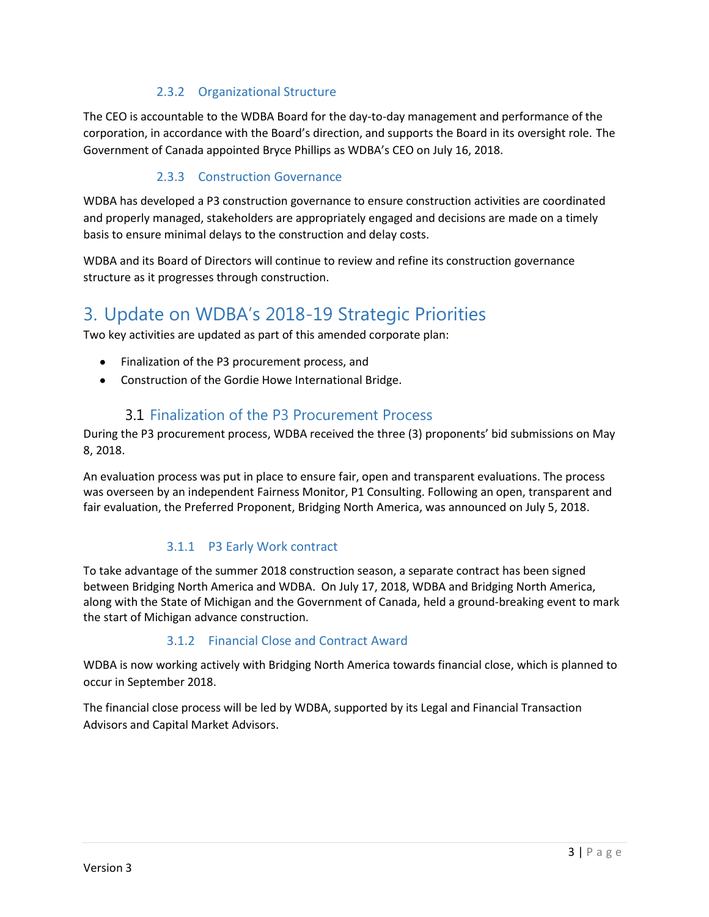#### 2.3.2 Organizational Structure

The CEO is accountable to the WDBA Board for the day-to-day management and performance of the corporation, in accordance with the Board's direction, and supports the Board in its oversight role. The Government of Canada appointed Bryce Phillips as WDBA's CEO on July 16, 2018.

#### 2.3.3 Construction Governance

WDBA has developed a P3 construction governance to ensure construction activities are coordinated and properly managed, stakeholders are appropriately engaged and decisions are made on a timely basis to ensure minimal delays to the construction and delay costs.

WDBA and its Board of Directors will continue to review and refine its construction governance structure as it progresses through construction.

## <span id="page-4-0"></span>3. Update on WDBA's 2018-19 Strategic Priorities

Two key activities are updated as part of this amended corporate plan:

- Finalization of the P3 procurement process, and
- $\bullet$ Construction of the Gordie Howe International Bridge.

#### <span id="page-4-1"></span>3.1 Finalization of the P3 Procurement Process

During the P3 procurement process, WDBA received the three (3) proponents' bid submissions on May 8, 2018.

An evaluation process was put in place to ensure fair, open and transparent evaluations. The process was overseen by an independent Fairness Monitor, P1 Consulting. Following an open, transparent and fair evaluation, the Preferred Proponent, Bridging North America, was announced on July 5, 2018.

#### 3.1.1 P3 Early Work contract

To take advantage of the summer 2018 construction season, a separate contract has been signed between Bridging North America and WDBA. On July 17, 2018, WDBA and Bridging North America, along with the State of Michigan and the Government of Canada, held a ground-breaking event to mark the start of Michigan advance construction.

#### 3.1.2 Financial Close and Contract Award

WDBA is now working actively with Bridging North America towards financial close, which is planned to occur in September 2018.

The financial close process will be led by WDBA, supported by its Legal and Financial Transaction Advisors and Capital Market Advisors.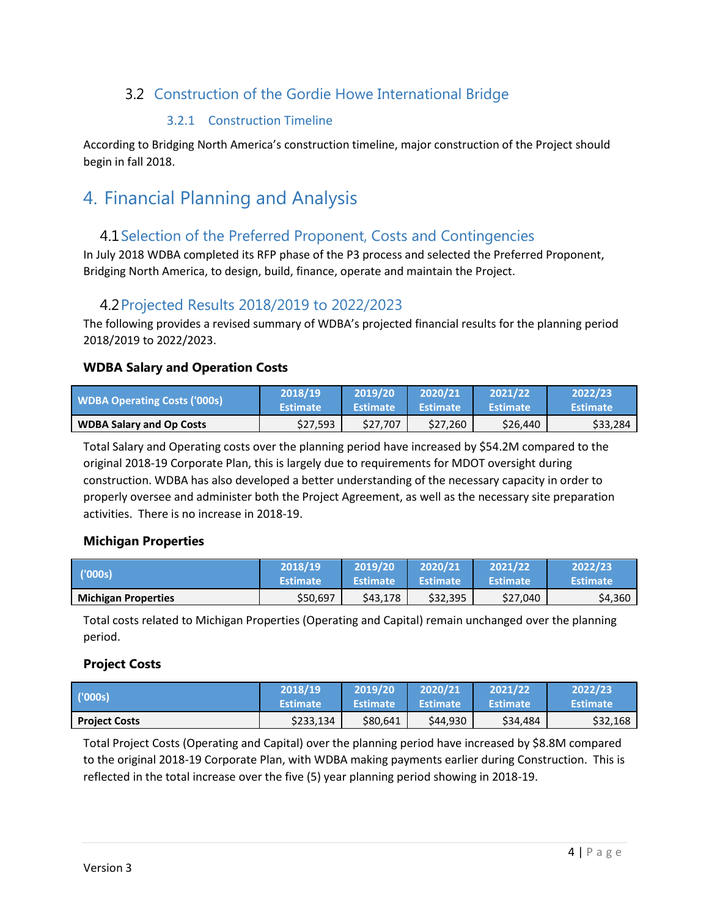## <span id="page-5-0"></span>3.2 Construction of the Gordie Howe International Bridge

#### 3.2.1 Construction Timeline

According to Bridging North America's construction timeline, major construction of the Project should begin in fall 2018.

## <span id="page-5-2"></span><span id="page-5-1"></span>4. Financial Planning and Analysis

### 4.1Selection of the Preferred Proponent, Costs and Contingencies

In July 2018 WDBA completed its RFP phase of the P3 process and selected the Preferred Proponent, Bridging North America, to design, build, finance, operate and maintain the Project.

### <span id="page-5-3"></span>4.2Projected Results 2018/2019 to 2022/2023

The following provides a revised summary of WDBA's projected financial results for the planning period 2018/2019 to 2022/2023.

#### **WDBA Salary and Operation Costs**

| <b>WDBA Operating Costs ('000s)</b> | 2018/19         | 2019/20         | 2020/21         | 2021/22          | 2022/23         |
|-------------------------------------|-----------------|-----------------|-----------------|------------------|-----------------|
|                                     | <b>Estimate</b> | <b>Estimate</b> | <b>Estimate</b> | <b>\Estimate</b> | <b>Estimate</b> |
| <b>WDBA Salary and Op Costs</b>     | \$27,593        | \$27,707        | \$27,260        | \$26,440         | \$33,284        |

Total Salary and Operating costs over the planning period have increased by \$54.2M compared to the original 2018-19 Corporate Plan, this is largely due to requirements for MDOT oversight during construction. WDBA has also developed a better understanding of the necessary capacity in order to properly oversee and administer both the Project Agreement, as well as the necessary site preparation activities. There is no increase in 2018-19.

#### **Michigan Properties**

| ('000s) <sup> </sup>       | 2018/19         | 2019/20         | 2020/21         | 2021/22         | 2022/23         |
|----------------------------|-----------------|-----------------|-----------------|-----------------|-----------------|
|                            | <b>Estimate</b> | <b>Estimate</b> | <b>Estimate</b> | <b>Estimate</b> | <b>Estimate</b> |
| <b>Michigan Properties</b> | \$50,697        | \$43,178        | \$32,395        | \$27,040        | \$4,360         |

Total costs related to Michigan Properties (Operating and Capital) remain unchanged over the planning period.

#### **Project Costs**

| (000s)               | 2018/19         | 2019/20         | 2020/21         | 2021/22         | 2022/23         |
|----------------------|-----------------|-----------------|-----------------|-----------------|-----------------|
|                      | <b>Estimate</b> | <b>Estimate</b> | <b>Estimate</b> | <b>Estimate</b> | <b>Estimate</b> |
| <b>Project Costs</b> | \$233,134       | \$80,641        | \$44,930        | \$34,484        | \$32,168        |

Total Project Costs (Operating and Capital) over the planning period have increased by \$8.8M compared to the original 2018-19 Corporate Plan, with WDBA making payments earlier during Construction. This is reflected in the total increase over the five (5) year planning period showing in 2018-19.